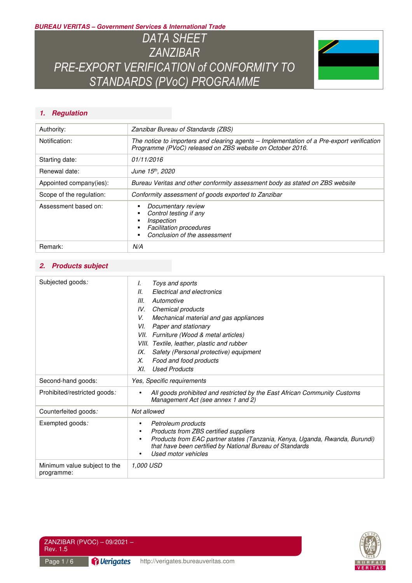*BUREAU VERITAS – Government Services & International Trade* 

*DATA SHEET ZANZIBAR PRE-EXPORT VERIFICATION of CONFORMITY TO STANDARDS (PVoC) PROGRAMME* 



## *1. Regulation*

| Authority:               | Zanzibar Bureau of Standards (ZBS)                                                                                                                     |  |
|--------------------------|--------------------------------------------------------------------------------------------------------------------------------------------------------|--|
| Notification:            | The notice to importers and clearing agents – Implementation of a Pre-export verification<br>Programme (PVoC) released on ZBS website on October 2016. |  |
| Starting date:           | 01/11/2016                                                                                                                                             |  |
| Renewal date:            | June 15 <sup>th</sup> , 2020                                                                                                                           |  |
| Appointed company(ies):  | Bureau Veritas and other conformity assessment body as stated on ZBS website                                                                           |  |
| Scope of the regulation: | Conformity assessment of goods exported to Zanzibar                                                                                                    |  |
| Assessment based on:     | Documentary review<br>Control testing if any<br>Inspection<br><b>Facilitation procedures</b><br>Conclusion of the assessment                           |  |
| Remark:                  | N/A                                                                                                                                                    |  |

### *2. Products subject*

| Subjected goods:                           | Toys and sports<br>I.<br>Electrical and electronics<br>Ш.<br>III.<br>Automotive<br>IV.<br>Chemical products<br>V.<br>Mechanical material and gas appliances<br>Paper and stationary<br>VI.<br>VII. Furniture (Wood & metal articles)<br>VIII. Textile, leather, plastic and rubber<br>Safety (Personal protective) equipment<br>IX. |  |
|--------------------------------------------|-------------------------------------------------------------------------------------------------------------------------------------------------------------------------------------------------------------------------------------------------------------------------------------------------------------------------------------|--|
|                                            | Food and food products<br>Х.                                                                                                                                                                                                                                                                                                        |  |
|                                            | <b>Used Products</b><br>XI.                                                                                                                                                                                                                                                                                                         |  |
| Second-hand goods:                         | Yes, Specific requirements                                                                                                                                                                                                                                                                                                          |  |
| Prohibited/restricted goods:               | All goods prohibited and restricted by the East African Community Customs<br>$\bullet$<br>Management Act (see annex 1 and 2)                                                                                                                                                                                                        |  |
| Counterfeited goods:                       | Not allowed                                                                                                                                                                                                                                                                                                                         |  |
| Exempted goods:                            | Petroleum products<br>٠<br>Products from ZBS certified suppliers<br>$\bullet$<br>Products from EAC partner states (Tanzania, Kenya, Uganda, Rwanda, Burundi)<br>$\bullet$<br>that have been certified by National Bureau of Standards<br>Used motor vehicles                                                                        |  |
| Minimum value subject to the<br>programme: | <i>1,000 USD</i>                                                                                                                                                                                                                                                                                                                    |  |



ZANZIBAR (PVOC) – 09/2021 – Rev. 1.5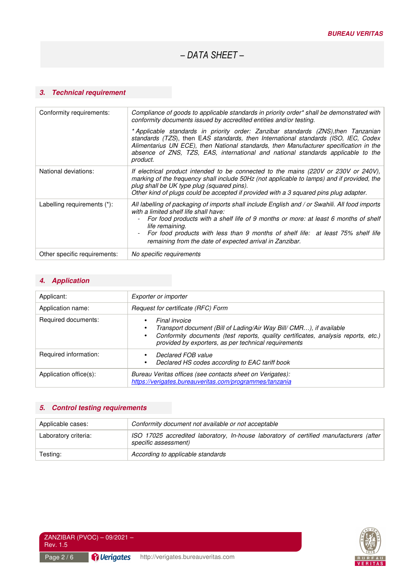## *3. Technical requirement*

| Conformity requirements:     | Compliance of goods to applicable standards in priority order* shall be demonstrated with<br>conformity documents issued by accredited entities and/or testing.                                                                                                                                                                                                                                   |
|------------------------------|---------------------------------------------------------------------------------------------------------------------------------------------------------------------------------------------------------------------------------------------------------------------------------------------------------------------------------------------------------------------------------------------------|
|                              | * Applicable standards in priority order: Zanzibar standards (ZNS), then Tanzanian<br>standards (TZS), then EAS standards, then International standards (ISO, IEC, Codex<br>Alimentarius UN ECE), then National standards, then Manufacturer specification in the<br>absence of ZNS, TZS, EAS, international and national standards applicable to the<br>product.                                 |
| National deviations:         | If electrical product intended to be connected to the mains (220V or 230V or 240V),<br>marking of the frequency shall include 50Hz (not applicable to lamps) and if provided, the<br>plug shall be UK type plug (squared pins).<br>Other kind of plugs could be accepted if provided with a 3 squared pins plug adapter.                                                                          |
| Labelling requirements (*):  | All labelling of packaging of imports shall include English and / or Swahili. All food imports<br>with a limited shelf life shall have:<br>For food products with a shelf life of 9 months or more: at least 6 months of shelf<br>life remaining.<br>For food products with less than 9 months of shelf life: at least 75% shelf life<br>remaining from the date of expected arrival in Zanzibar. |
| Other specific requirements: | No specific requirements                                                                                                                                                                                                                                                                                                                                                                          |

## *4. Application*

| Applicant:             | Exporter or importer                                                                                                                                                                                                                                                     |  |
|------------------------|--------------------------------------------------------------------------------------------------------------------------------------------------------------------------------------------------------------------------------------------------------------------------|--|
| Application name:      | Request for certificate (RFC) Form                                                                                                                                                                                                                                       |  |
| Required documents:    | Final invoice<br>$\bullet$<br>Transport document (Bill of Lading/Air Way Bill/ CMR), if available<br>$\bullet$<br>Conformity documents (test reports, quality certificates, analysis reports, etc.)<br>$\bullet$<br>provided by exporters, as per technical requirements |  |
| Required information:  | Declared FOB value<br>$\bullet$<br>Declared HS codes according to EAC tariff book<br>٠                                                                                                                                                                                   |  |
| Application office(s): | Bureau Veritas offices (see contacts sheet on Verigates):<br>https://verigates.bureauveritas.com/programmes/tanzania                                                                                                                                                     |  |

### *5. Control testing requirements*

| Applicable cases:    | Conformity document not available or not acceptable                                                            |  |
|----------------------|----------------------------------------------------------------------------------------------------------------|--|
| Laboratory criteria: | ISO 17025 accredited laboratory, In-house laboratory of certified manufacturers (after<br>specific assessment) |  |
| Testing:             | According to applicable standards                                                                              |  |

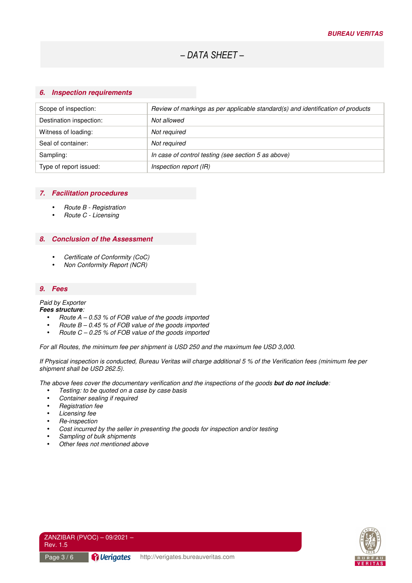#### *6. Inspection requirements*

| Review of markings as per applicable standard(s) and identification of products |
|---------------------------------------------------------------------------------|
| Not allowed                                                                     |
| Not required                                                                    |
| Not required                                                                    |
| In case of control testing (see section 5 as above)                             |
| Inspection report (IR)                                                          |
|                                                                                 |

### *7. Facilitation procedures*

- Route B Registration
- Route C Licensing

### *8. Conclusion of the Assessment*

- Certificate of Conformity (CoC)
- Non Conformity Report (NCR)

### *9. Fees*

## Paid by Exporter

- *Fees structure*:
	- Route A 0.53 % of FOB value of the goods imported
	- Route  $B 0.45$  % of FOB value of the goods imported
	- Route  $C 0.25$  % of FOB value of the goods imported

For all Routes, the minimum fee per shipment is USD 250 and the maximum fee USD 3,000.

If Physical inspection is conducted, Bureau Veritas will charge additional 5 % of the Verification fees (minimum fee per shipment shall be USD 262.5).

The above fees cover the documentary verification and the inspections of the goods *but do not include*:

- Testing: to be quoted on a case by case basis
- Container sealing if required
- Registration fee
- Licensing fee
- Re-inspection
- Cost incurred by the seller in presenting the goods for inspection and/or testing
- Sampling of bulk shipments
- Other fees not mentioned above



ZANZIBAR (PVOC) – 09/2021 – Rev. 1.5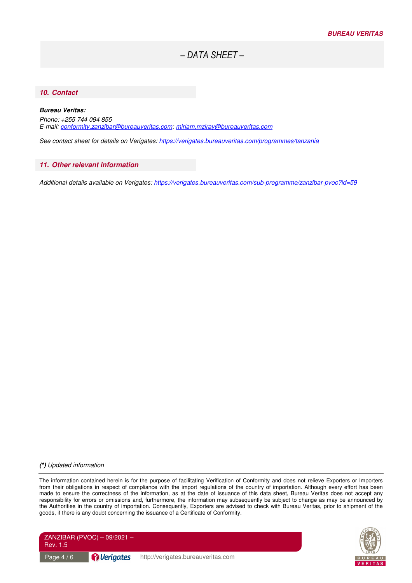### *10. Contact*

#### *Bureau Veritas:*

Phone: +255 744 094 855 E-mail: conformity.zanzibar@bureauveritas.com; miriam.mziray@bureauveritas.com

See contact sheet for details on Verigates: https://verigates.bureauveritas.com/programmes/tanzania

#### *11. Other relevant information*

Additional details available on Verigates: https://verigates.bureauveritas.com/sub-programme/zanzibar-pvoc?id=59

*(\*)* Updated information

The information contained herein is for the purpose of facilitating Verification of Conformity and does not relieve Exporters or Importers from their obligations in respect of compliance with the import regulations of the country of importation. Although every effort has been made to ensure the correctness of the information, as at the date of issuance of this data sheet, Bureau Veritas does not accept any responsibility for errors or omissions and, furthermore, the information may subsequently be subject to change as may be announced by the Authorities in the country of importation. Consequently, Exporters are advised to check with Bureau Veritas, prior to shipment of the goods, if there is any doubt concerning the issuance of a Certificate of Conformity.



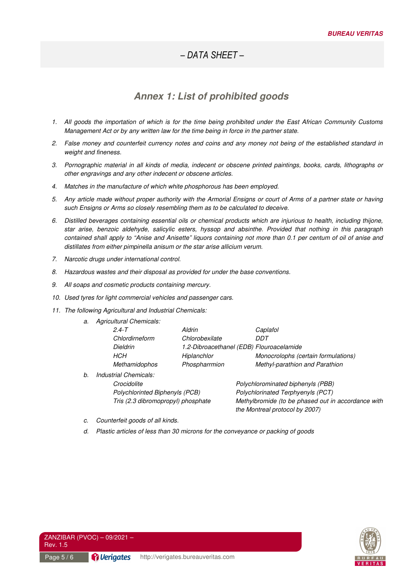# *Annex 1: List of prohibited goods*

- 1. All goods the importation of which is for the time being prohibited under the East African Community Customs Management Act or by any written law for the time being in force in the partner state.
- 2. False money and counterfeit currency notes and coins and any money not being of the established standard in weight and fineness.
- 3. Pornographic material in all kinds of media, indecent or obscene printed paintings, books, cards, lithographs or other engravings and any other indecent or obscene articles.
- 4. Matches in the manufacture of which white phosphorous has been employed.
- 5. Any article made without proper authority with the Armorial Ensigns or court of Arms of a partner state or having such Ensigns or Arms so closely resembling them as to be calculated to deceive.
- 6. Distilled beverages containing essential oils or chemical products which are injurious to health, including thijone, star arise, benzoic aldehyde, salicylic esters, hyssop and absinthe. Provided that nothing in this paragraph contained shall apply to "Anise and Anisette" liquors containing not more than 0.1 per centum of oil of anise and distillates from either pimpinella anisum or the star arise allicium verum.
- 7. Narcotic drugs under international control.
- 8. Hazardous wastes and their disposal as provided for under the base conventions.
- 9. All soaps and cosmetic products containing mercury.
- 10. Used tyres for light commercial vehicles and passenger cars.
- 11. The following Agricultural and Industrial Chemicals:
	- a. Agricultural Chemicals:

|    | $2.4 - T$             | Aldrin         | Caplafol                                 |
|----|-----------------------|----------------|------------------------------------------|
|    | Chlordirneform        | Chlorobexilate | דממ                                      |
|    | <b>Dieldrin</b>       |                | 1.2-Dibroacethanel (EDB) Flouroacelamide |
|    | HCH                   | Hiplanchlor    | Monocrolophs (certain formulations)      |
|    | <b>Methamidophos</b>  | Phospharrmion  | Methyl-parathion and Parathion           |
| b. | Industrial Chemicals: |                |                                          |

Crocidolite Polychlorominated biphenyls (PBB)

Polychlorinted Biphenyls (PCB) Polychlorinated Terphyenyls (PCT) Tris (2.3 dibromopropyl) phosphate Methylbromide (to be phased out in accordance with the Montreal protocol by 2007)

- c. Counterfeit goods of all kinds.
- d. Plastic articles of less than 30 microns for the conveyance or packing of goods



ZANZIBAR (PVOC) – 09/2021 – Rev. 1.5